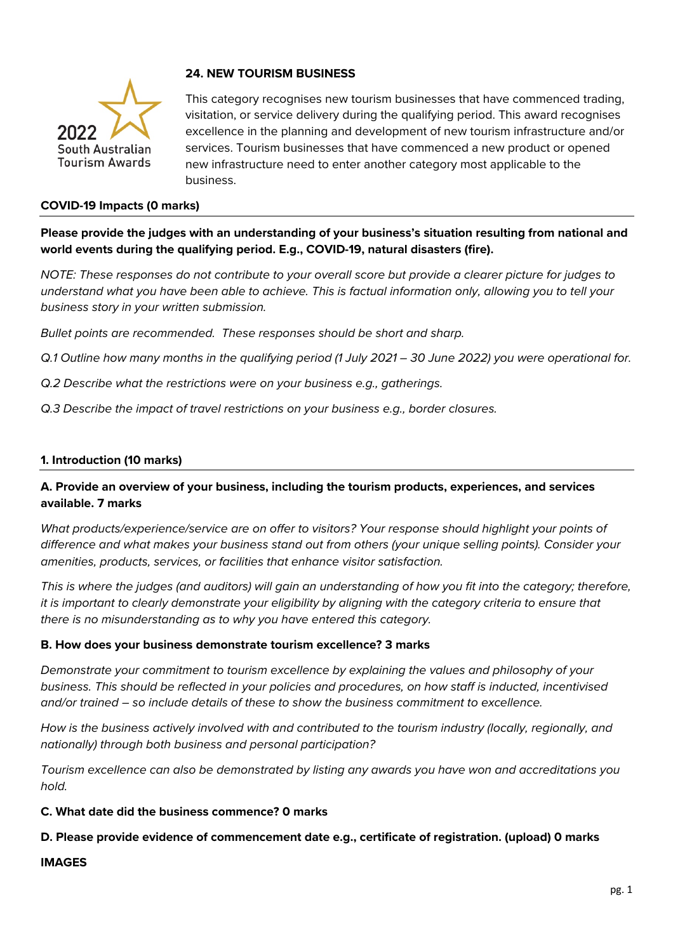

# **24. NEW TOURISM BUSINESS**

This category recognises new tourism businesses that have commenced trading, visitation, or service delivery during the qualifying period. This award recognises excellence in the planning and development of new tourism infrastructure and/or services. Tourism businesses that have commenced a new product or opened new infrastructure need to enter another category most applicable to the business.

#### **COVID-19 Impacts (0 marks)**

**Please provide the judges with an understanding of your business's situation resulting from national and world events during the qualifying period. E.g., COVID-19, natural disasters (fire).**

*NOTE: These responses do not contribute to your overall score but provide a clearer picture for judges to understand what you have been able to achieve. This is factual information only, allowing you to tell your business story in your written submission.* 

*Bullet points are recommended. These responses should be short and sharp.*

- *Q.1 Outline how many months in the qualifying period (1 July 2021 – 30 June 2022) you were operational for.*
- *Q.2 Describe what the restrictions were on your business e.g., gatherings.*
- *Q.3 Describe the impact of travel restrictions on your business e.g., border closures.*

#### **1. Introduction (10 marks)**

## **A. Provide an overview of your business, including the tourism products, experiences, and services available. 7 marks**

*What products/experience/service are on offer to visitors? Your response should highlight your points of difference and what makes your business stand out from others (your unique selling points). Consider your amenities, products, services, or facilities that enhance visitor satisfaction.*

*This is where the judges (and auditors) will gain an understanding of how you fit into the category; therefore, it is important to clearly demonstrate your eligibility by aligning with the category criteria to ensure that there is no misunderstanding as to why you have entered this category.*

#### **B. How does your business demonstrate tourism excellence? 3 marks**

*Demonstrate your commitment to tourism excellence by explaining the values and philosophy of your business. This should be reflected in your policies and procedures, on how staff is inducted, incentivised and/or trained – so include details of these to show the business commitment to excellence.*

*How is the business actively involved with and contributed to the tourism industry (locally, regionally, and nationally) through both business and personal participation?*

*Tourism excellence can also be demonstrated by listing any awards you have won and accreditations you hold.* 

#### **C. What date did the business commence? 0 marks**

### **D. Please provide evidence of commencement date e.g., certificate of registration. (upload) 0 marks**

#### **IMAGES**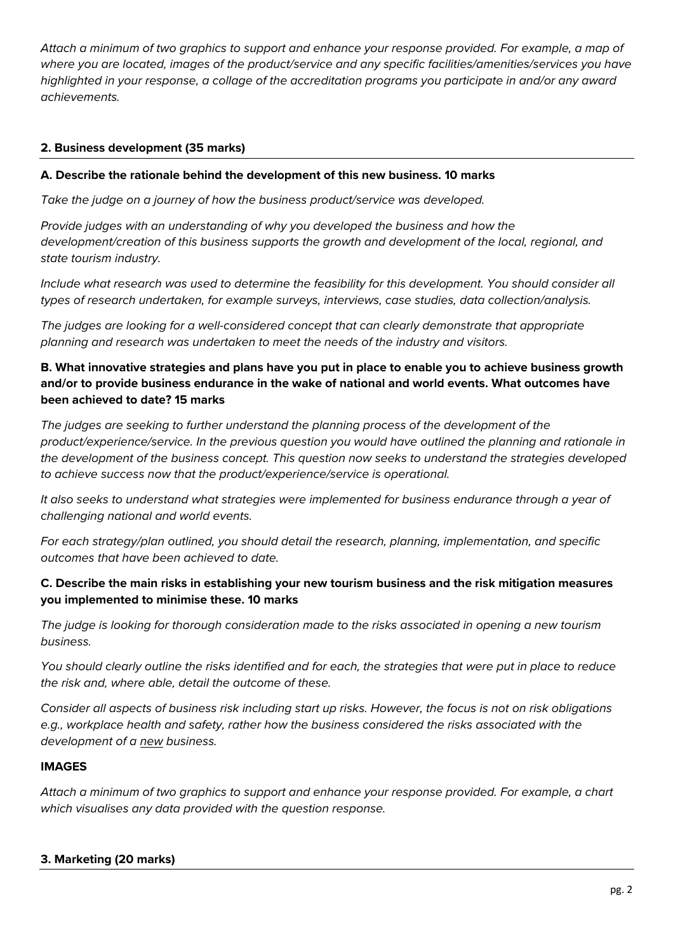*Attach a minimum of two graphics to support and enhance your response provided. For example, a map of where you are located, images of the product/service and any specific facilities/amenities/services you have highlighted in your response, a collage of the accreditation programs you participate in and/or any award achievements.* 

## **2. Business development (35 marks)**

### **A. Describe the rationale behind the development of this new business. 10 marks**

*Take the judge on a journey of how the business product/service was developed.*

*Provide judges with an understanding of why you developed the business and how the development/creation of this business supports the growth and development of the local, regional, and state tourism industry.*

*Include what research was used to determine the feasibility for this development. You should consider all types of research undertaken, for example surveys, interviews, case studies, data collection/analysis.* 

*The judges are looking for a well-considered concept that can clearly demonstrate that appropriate planning and research was undertaken to meet the needs of the industry and visitors.* 

## **B. What innovative strategies and plans have you put in place to enable you to achieve business growth and/or to provide business endurance in the wake of national and world events. What outcomes have been achieved to date? 15 marks**

*The judges are seeking to further understand the planning process of the development of the product/experience/service. In the previous question you would have outlined the planning and rationale in the development of the business concept. This question now seeks to understand the strategies developed to achieve success now that the product/experience/service is operational.* 

*It also seeks to understand what strategies were implemented for business endurance through a year of challenging national and world events.* 

*For each strategy/plan outlined, you should detail the research, planning, implementation, and specific outcomes that have been achieved to date.* 

## **C. Describe the main risks in establishing your new tourism business and the risk mitigation measures you implemented to minimise these. 10 marks**

*The judge is looking for thorough consideration made to the risks associated in opening a new tourism business.* 

*You should clearly outline the risks identified and for each, the strategies that were put in place to reduce the risk and, where able, detail the outcome of these.* 

*Consider all aspects of business risk including start up risks. However, the focus is not on risk obligations e.g., workplace health and safety, rather how the business considered the risks associated with the development of a new business.* 

### **IMAGES**

*Attach a minimum of two graphics to support and enhance your response provided. For example, a chart which visualises any data provided with the question response.* 

### **3. Marketing (20 marks)**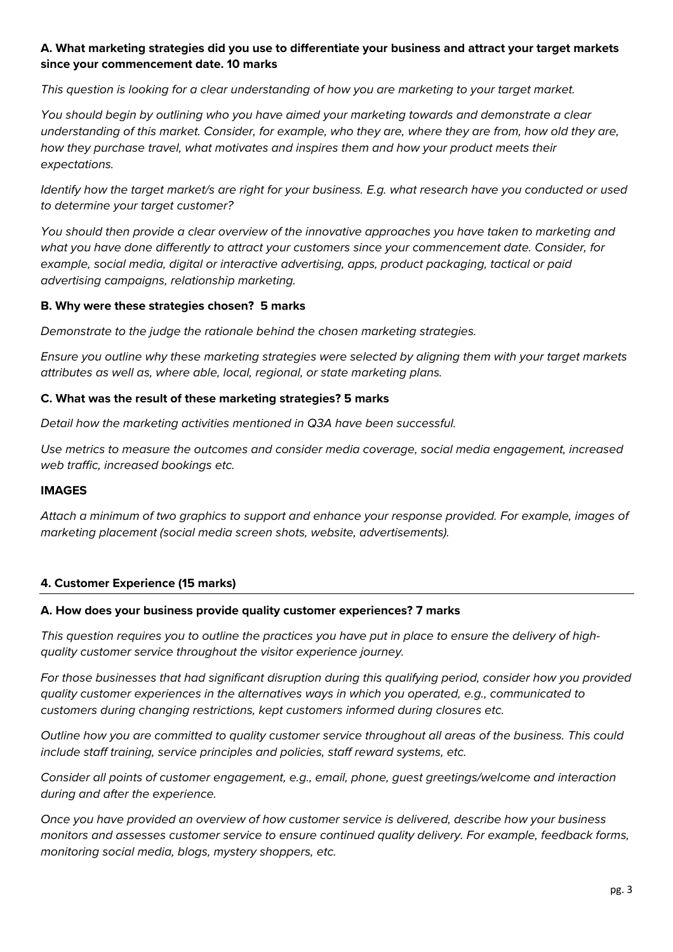## **A. What marketing strategies did you use to differentiate your business and attract your target markets since your commencement date. 10 marks**

*This question is looking for a clear understanding of how you are marketing to your target market.* 

*You should begin by outlining who you have aimed your marketing towards and demonstrate a clear understanding of this market. Consider, for example, who they are, where they are from, how old they are, how they purchase travel, what motivates and inspires them and how your product meets their expectations.* 

*Identify how the target market/s are right for your business. E.g. what research have you conducted or used to determine your target customer?*

*You should then provide a clear overview of the innovative approaches you have taken to marketing and what you have done differently to attract your customers since your commencement date. Consider, for example, social media, digital or interactive advertising, apps, product packaging, tactical or paid advertising campaigns, relationship marketing.* 

### **B. Why were these strategies chosen? 5 marks**

*Demonstrate to the judge the rationale behind the chosen marketing strategies.* 

*Ensure you outline why these marketing strategies were selected by aligning them with your target markets attributes as well as, where able, local, regional, or state marketing plans.* 

### **C. What was the result of these marketing strategies? 5 marks**

*Detail how the marketing activities mentioned in Q3A have been successful.* 

*Use metrics to measure the outcomes and consider media coverage, social media engagement, increased web traffic, increased bookings etc.* 

### **IMAGES**

*Attach a minimum of two graphics to support and enhance your response provided. For example, images of marketing placement (social media screen shots, website, advertisements).*

### **4. Customer Experience (15 marks)**

### **A. How does your business provide quality customer experiences? 7 marks**

*This question requires you to outline the practices you have put in place to ensure the delivery of highquality customer service throughout the visitor experience journey.* 

*For those businesses that had significant disruption during this qualifying period, consider how you provided quality customer experiences in the alternatives ways in which you operated, e.g., communicated to customers during changing restrictions, kept customers informed during closures etc.* 

*Outline how you are committed to quality customer service throughout all areas of the business. This could include staff training, service principles and policies, staff reward systems, etc.* 

*Consider all points of customer engagement, e.g., email, phone, guest greetings/welcome and interaction during and after the experience.*

*Once you have provided an overview of how customer service is delivered, describe how your business monitors and assesses customer service to ensure continued quality delivery. For example, feedback forms, monitoring social media, blogs, mystery shoppers, etc.*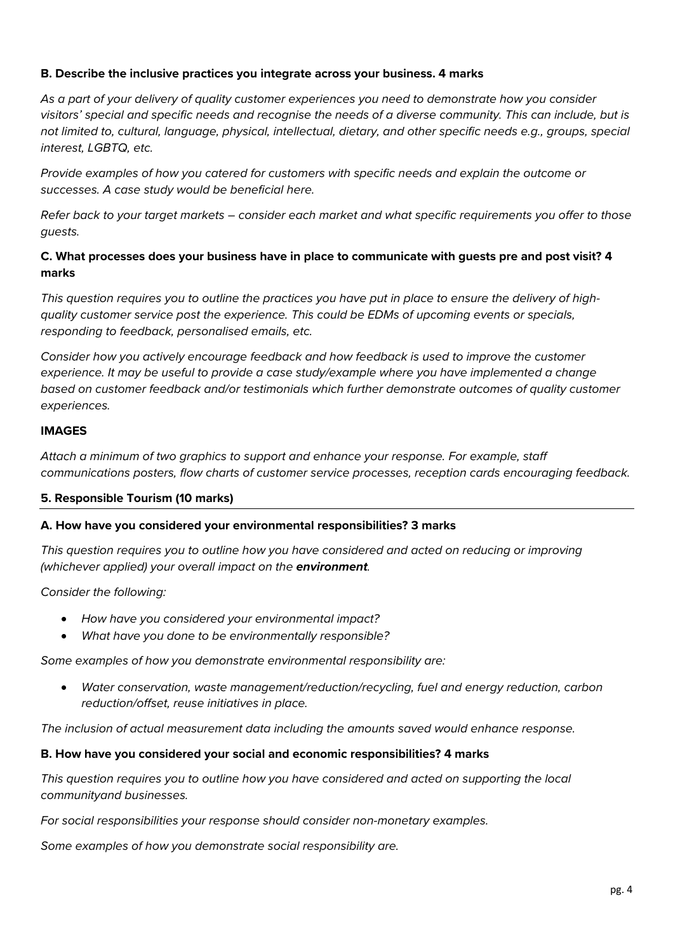## **B. Describe the inclusive practices you integrate across your business. 4 marks**

*As a part of your delivery of quality customer experiences you need to demonstrate how you consider visitors' special and specific needs and recognise the needs of a diverse community. This can include, but is not limited to, cultural, language, physical, intellectual, dietary, and other specific needs e.g., groups, special interest, LGBTQ, etc.*

*Provide examples of how you catered for customers with specific needs and explain the outcome or successes. A case study would be beneficial here.* 

*Refer back to your target markets – consider each market and what specific requirements you offer to those guests.*

# **C. What processes does your business have in place to communicate with guests pre and post visit? 4 marks**

*This question requires you to outline the practices you have put in place to ensure the delivery of highquality customer service post the experience. This could be EDMs of upcoming events or specials, responding to feedback, personalised emails, etc.* 

*Consider how you actively encourage feedback and how feedback is used to improve the customer experience. It may be useful to provide a case study/example where you have implemented a change based on customer feedback and/or testimonials which further demonstrate outcomes of quality customer experiences.* 

### **IMAGES**

*Attach a minimum of two graphics to support and enhance your response. For example, staff communications posters, flow charts of customer service processes, reception cards encouraging feedback.* 

# **5. Responsible Tourism (10 marks)**

### **A. How have you considered your environmental responsibilities? 3 marks**

*This question requires you to outline how you have considered and acted on reducing or improving (whichever applied) your overall impact on the environment.* 

*Consider the following:*

- *How have you considered your environmental impact?*
- *What have you done to be environmentally responsible?*

*Some examples of how you demonstrate environmental responsibility are:*

• *Water conservation, waste management/reduction/recycling, fuel and energy reduction, carbon reduction/offset, reuse initiatives in place.*

*The inclusion of actual measurement data including the amounts saved would enhance response.*

### **B. How have you considered your social and economic responsibilities? 4 marks**

*This question requires you to outline how you have considered and acted on supporting the local communityand businesses.* 

*For social responsibilities your response should consider non-monetary examples.*

*Some examples of how you demonstrate social responsibility are.*